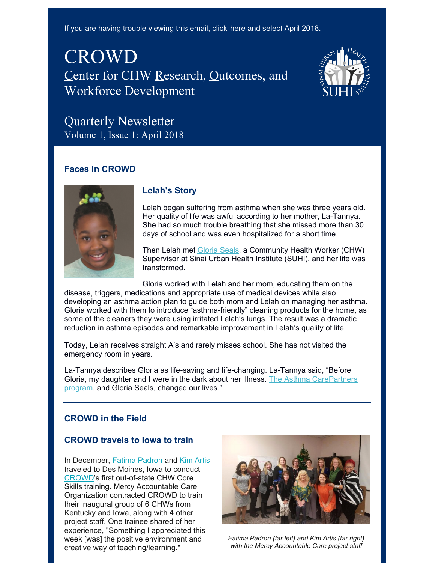If you are having trouble viewing this email, click [here](http://www.sinai.org/content/crowd-newsletters) and select April 2018.

# CROWD Center for CHW Research, Outcomes, and Workforce Development



# Quarterly Newsletter Volume 1, Issue 1: April 2018

## **Faces in CROWD**



# **Lelah's Story**

Lelah began suffering from asthma when she was three years old. Her quality of life was awful according to her mother, La-Tannya. She had so much trouble breathing that she missed more than 30 days of school and was even hospitalized for a short time.

Then Lelah met [Gloria](http://www.sinai.org/content/suhi-staff-gloria-seals) Seals, a Community Health Worker (CHW) Supervisor at Sinai Urban Health Institute (SUHI), and her life was transformed.

Gloria worked with Lelah and her mom, educating them on the disease, triggers, medications and appropriate use of medical devices while also developing an asthma action plan to guide both mom and Lelah on managing her asthma. Gloria worked with them to introduce "asthma-friendly" cleaning products for the home, as some of the cleaners they were using irritated Lelah's lungs. The result was a dramatic reduction in asthma episodes and remarkable improvement in Lelah's quality of life.

Today, Lelah receives straight A's and rarely misses school. She has not visited the emergency room in years.

La-Tannya describes Gloria as life-saving and life-changing. La-Tannya said, "Before Gloria, my daughter and I were in the dark about her illness. The Asthma [CarePartners](http://www.sinai.org/content/suhi-project-asthma-carepartners-program-current-phase) program, and Gloria Seals, changed our lives."

# **CROWD in the Field**

#### **CROWD travels to Iowa to train**

In December, Fatima [Padron](http://www.sinai.org/content/suhi-staff-fatima-padron) and Kim [Artis](http://www.sinai.org/content/suhi-staff-kim-artis) traveled to Des Moines, Iowa to conduct [CROWD](http://www.sinai.org/content/suhi-crowd)'s first out-of-state CHW Core Skills training. Mercy Accountable Care Organization contracted CROWD to train their inaugural group of 6 CHWs from Kentucky and Iowa, along with 4 other project staff. One trainee shared of her experience, "Something I appreciated this week [was] the positive environment and creative way of teaching/learning."



*Fatima Padron (far left) and Kim Artis (far right) with the Mercy Accountable Care project staff*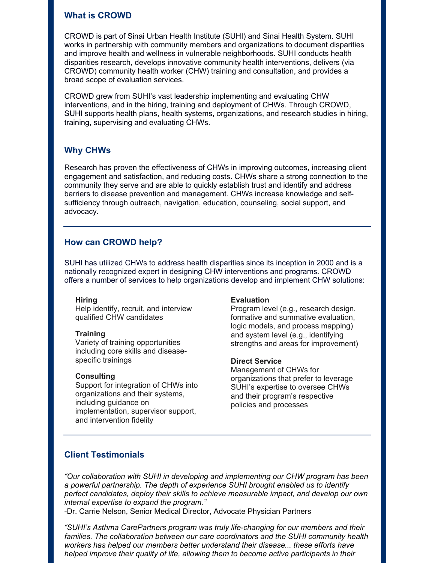#### **What is CROWD**

CROWD is part of Sinai Urban Health Institute (SUHI) and Sinai Health System. SUHI works in partnership with community members and organizations to document disparities and improve health and wellness in vulnerable neighborhoods. SUHI conducts health disparities research, develops innovative community health interventions, delivers (via CROWD) community health worker (CHW) training and consultation, and provides a broad scope of evaluation services.

CROWD grew from SUHI's vast leadership implementing and evaluating CHW interventions, and in the hiring, training and deployment of CHWs. Through CROWD, SUHI supports health plans, health systems, organizations, and research studies in hiring, training, supervising and evaluating CHWs.

## **Why CHWs**

Research has proven the effectiveness of CHWs in improving outcomes, increasing client engagement and satisfaction, and reducing costs. CHWs share a strong connection to the community they serve and are able to quickly establish trust and identify and address barriers to disease prevention and management. CHWs increase knowledge and selfsufficiency through outreach, navigation, education, counseling, social support, and advocacy.

## **How can CROWD help?**

SUHI has utilized CHWs to address health disparities since its inception in 2000 and is a nationally recognized expert in designing CHW interventions and programs. CROWD offers a number of services to help organizations develop and implement CHW solutions:

#### **Hiring**

Help identify, recruit, and interview qualified CHW candidates

#### **Training**

Variety of training opportunities including core skills and diseasespecific trainings

#### **Consulting**

Support for integration of CHWs into organizations and their systems, including guidance on implementation, supervisor support, and intervention fidelity

#### **Evaluation**

Program level (e.g., research design, formative and summative evaluation, logic models, and process mapping) and system level (e.g., identifying strengths and areas for improvement)

#### **Direct Service**

Management of CHWs for organizations that prefer to leverage SUHI's expertise to oversee CHWs and their program's respective policies and processes

## **Client Testimonials**

*"Our collaboration with SUHI in developing and implementing our CHW program has been a powerful partnership. The depth of experience SUHI brought enabled us to identify perfect candidates, deploy their skills to achieve measurable impact, and develop our own internal expertise to expand the program."*

-Dr. Carrie Nelson, Senior Medical Director, Advocate Physician Partners

*"SUHI's Asthma CarePartners program was truly life-changing for our members and their families. The collaboration between our care coordinators and the SUHI community health workers has helped our members better understand their disease... these efforts have helped improve their quality of life, allowing them to become active participants in their*